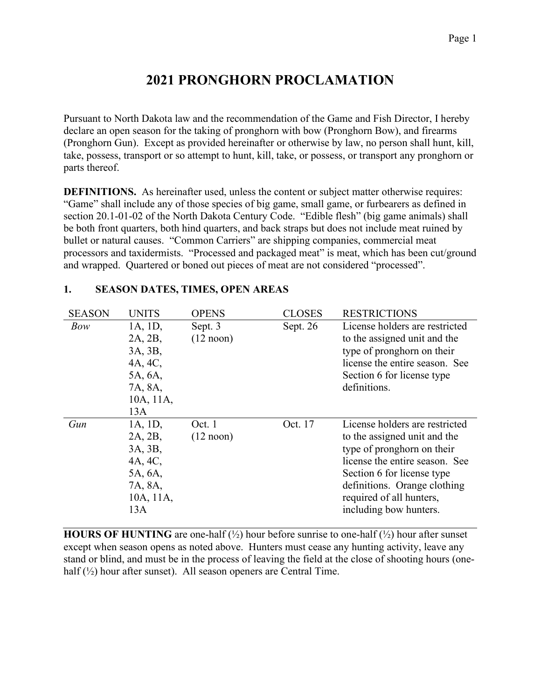# **2021 PRONGHORN PROCLAMATION**

Pursuant to North Dakota law and the recommendation of the Game and Fish Director, I hereby declare an open season for the taking of pronghorn with bow (Pronghorn Bow), and firearms (Pronghorn Gun). Except as provided hereinafter or otherwise by law, no person shall hunt, kill, take, possess, transport or so attempt to hunt, kill, take, or possess, or transport any pronghorn or parts thereof.

**DEFINITIONS.** As hereinafter used, unless the content or subject matter otherwise requires: "Game" shall include any of those species of big game, small game, or furbearers as defined in section 20.1-01-02 of the North Dakota Century Code. "Edible flesh" (big game animals) shall be both front quarters, both hind quarters, and back straps but does not include meat ruined by bullet or natural causes. "Common Carriers" are shipping companies, commercial meat processors and taxidermists. "Processed and packaged meat" is meat, which has been cut/ground and wrapped. Quartered or boned out pieces of meat are not considered "processed".

| <b>SEASON</b> | <b>UNITS</b> | <b>OPENS</b>        | <b>CLOSES</b> | <b>RESTRICTIONS</b>            |
|---------------|--------------|---------------------|---------------|--------------------------------|
| Bow           | 1A, 1D,      | Sept. 3             | Sept. 26      | License holders are restricted |
|               | 2A, 2B,      | $(12 \text{ noon})$ |               | to the assigned unit and the   |
|               | 3A, 3B,      |                     |               | type of pronghorn on their     |
|               | 4A, 4C,      |                     |               | license the entire season. See |
|               | 5A, 6A,      |                     |               | Section 6 for license type     |
|               | 7A, 8A,      |                     |               | definitions.                   |
|               | 10A, 11A,    |                     |               |                                |
|               | 13A          |                     |               |                                |
| Gun           | 1A, 1D,      | Oct. 1              | Oct. 17       | License holders are restricted |
|               | 2A, 2B,      | $(12 \text{ noon})$ |               | to the assigned unit and the   |
|               | 3A, 3B,      |                     |               | type of pronghorn on their     |
|               | 4A, 4C,      |                     |               | license the entire season. See |
|               | 5A, 6A,      |                     |               | Section 6 for license type     |
|               | 7A, 8A,      |                     |               | definitions. Orange clothing   |
|               | 10A, 11A,    |                     |               | required of all hunters,       |
|               |              |                     |               |                                |

## **1. SEASON DATES, TIMES, OPEN AREAS**

**HOURS OF HUNTING** are one-half  $(\frac{1}{2})$  hour before sunrise to one-half  $(\frac{1}{2})$  hour after sunset except when season opens as noted above. Hunters must cease any hunting activity, leave any stand or blind, and must be in the process of leaving the field at the close of shooting hours (onehalf  $(\frac{1}{2})$  hour after sunset). All season openers are Central Time.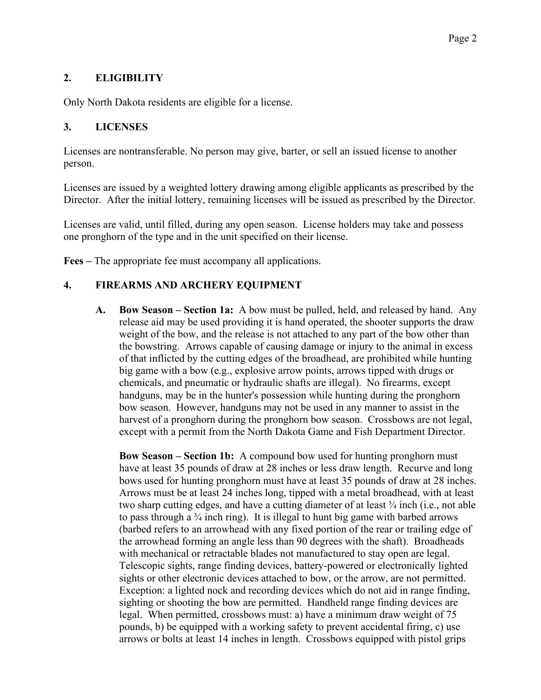## **2. ELIGIBILITY**

Only North Dakota residents are eligible for a license.

## **3. LICENSES**

Licenses are nontransferable. No person may give, barter, or sell an issued license to another person.

Licenses are issued by a weighted lottery drawing among eligible applicants as prescribed by the Director. After the initial lottery, remaining licenses will be issued as prescribed by the Director.

Licenses are valid, until filled, during any open season. License holders may take and possess one pronghorn of the type and in the unit specified on their license.

**Fees –** The appropriate fee must accompany all applications.

## **4. FIREARMS AND ARCHERY EQUIPMENT**

**A. Bow Season – Section 1a:** A bow must be pulled, held, and released by hand. Any release aid may be used providing it is hand operated, the shooter supports the draw weight of the bow, and the release is not attached to any part of the bow other than the bowstring. Arrows capable of causing damage or injury to the animal in excess of that inflicted by the cutting edges of the broadhead, are prohibited while hunting big game with a bow (e.g., explosive arrow points, arrows tipped with drugs or chemicals, and pneumatic or hydraulic shafts are illegal). No firearms, except handguns, may be in the hunter's possession while hunting during the pronghorn bow season. However, handguns may not be used in any manner to assist in the harvest of a pronghorn during the pronghorn bow season. Crossbows are not legal, except with a permit from the North Dakota Game and Fish Department Director.

**Bow Season – Section 1b:** A compound bow used for hunting pronghorn must have at least 35 pounds of draw at 28 inches or less draw length. Recurve and long bows used for hunting pronghorn must have at least 35 pounds of draw at 28 inches. Arrows must be at least 24 inches long, tipped with a metal broadhead, with at least two sharp cutting edges, and have a cutting diameter of at least ¾ inch (i.e., not able to pass through a  $\frac{3}{4}$  inch ring). It is illegal to hunt big game with barbed arrows (barbed refers to an arrowhead with any fixed portion of the rear or trailing edge of the arrowhead forming an angle less than 90 degrees with the shaft). Broadheads with mechanical or retractable blades not manufactured to stay open are legal. Telescopic sights, range finding devices, battery-powered or electronically lighted sights or other electronic devices attached to bow, or the arrow, are not permitted. Exception: a lighted nock and recording devices which do not aid in range finding, sighting or shooting the bow are permitted. Handheld range finding devices are legal. When permitted, crossbows must: a) have a minimum draw weight of 75 pounds, b) be equipped with a working safety to prevent accidental firing, c) use arrows or bolts at least 14 inches in length. Crossbows equipped with pistol grips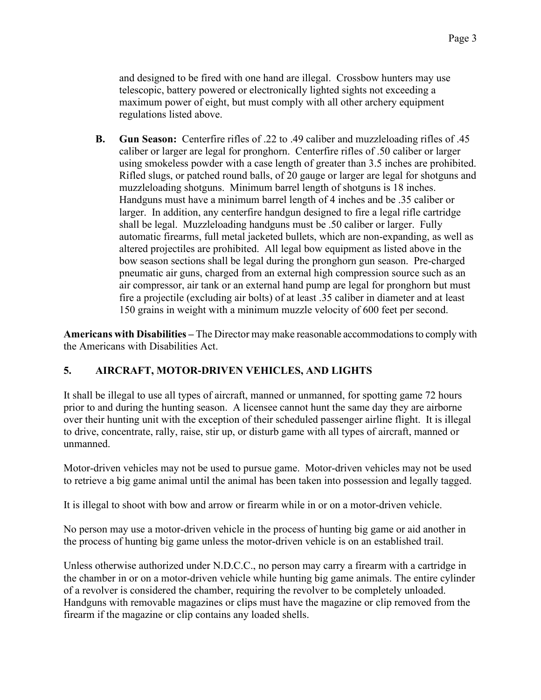and designed to be fired with one hand are illegal. Crossbow hunters may use telescopic, battery powered or electronically lighted sights not exceeding a maximum power of eight, but must comply with all other archery equipment regulations listed above.

**B. Gun Season:** Centerfire rifles of .22 to .49 caliber and muzzleloading rifles of .45 caliber or larger are legal for pronghorn. Centerfire rifles of .50 caliber or larger using smokeless powder with a case length of greater than 3.5 inches are prohibited. Rifled slugs, or patched round balls, of 20 gauge or larger are legal for shotguns and muzzleloading shotguns. Minimum barrel length of shotguns is 18 inches. Handguns must have a minimum barrel length of 4 inches and be .35 caliber or larger. In addition, any centerfire handgun designed to fire a legal rifle cartridge shall be legal. Muzzleloading handguns must be .50 caliber or larger. Fully automatic firearms, full metal jacketed bullets, which are non-expanding, as well as altered projectiles are prohibited. All legal bow equipment as listed above in the bow season sections shall be legal during the pronghorn gun season. Pre-charged pneumatic air guns, charged from an external high compression source such as an air compressor, air tank or an external hand pump are legal for pronghorn but must fire a projectile (excluding air bolts) of at least .35 caliber in diameter and at least 150 grains in weight with a minimum muzzle velocity of 600 feet per second.

**Americans with Disabilities –** The Director may make reasonable accommodations to comply with the Americans with Disabilities Act.

## **5. AIRCRAFT, MOTOR-DRIVEN VEHICLES, AND LIGHTS**

It shall be illegal to use all types of aircraft, manned or unmanned, for spotting game 72 hours prior to and during the hunting season. A licensee cannot hunt the same day they are airborne over their hunting unit with the exception of their scheduled passenger airline flight. It is illegal to drive, concentrate, rally, raise, stir up, or disturb game with all types of aircraft, manned or unmanned.

Motor-driven vehicles may not be used to pursue game. Motor-driven vehicles may not be used to retrieve a big game animal until the animal has been taken into possession and legally tagged.

It is illegal to shoot with bow and arrow or firearm while in or on a motor-driven vehicle.

No person may use a motor-driven vehicle in the process of hunting big game or aid another in the process of hunting big game unless the motor-driven vehicle is on an established trail.

Unless otherwise authorized under N.D.C.C., no person may carry a firearm with a cartridge in the chamber in or on a motor-driven vehicle while hunting big game animals. The entire cylinder of a revolver is considered the chamber, requiring the revolver to be completely unloaded. Handguns with removable magazines or clips must have the magazine or clip removed from the firearm if the magazine or clip contains any loaded shells.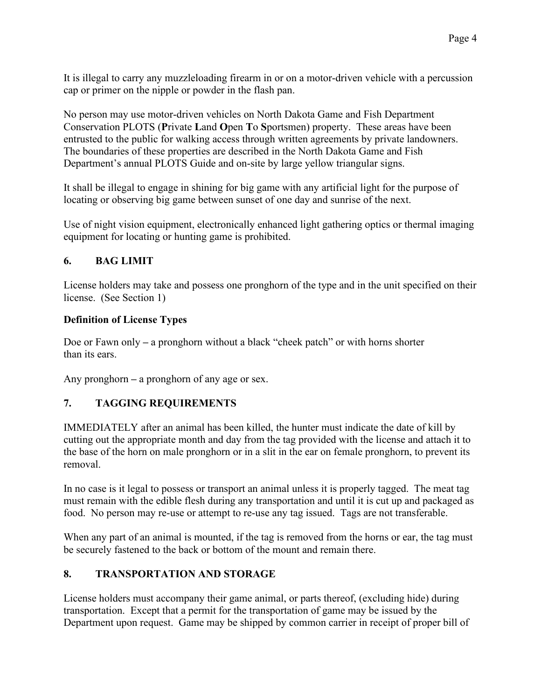It is illegal to carry any muzzleloading firearm in or on a motor-driven vehicle with a percussion cap or primer on the nipple or powder in the flash pan.

No person may use motor-driven vehicles on North Dakota Game and Fish Department Conservation PLOTS (**P**rivate **L**and **O**pen **T**o **S**portsmen) property. These areas have been entrusted to the public for walking access through written agreements by private landowners. The boundaries of these properties are described in the North Dakota Game and Fish Department's annual PLOTS Guide and on-site by large yellow triangular signs.

It shall be illegal to engage in shining for big game with any artificial light for the purpose of locating or observing big game between sunset of one day and sunrise of the next.

Use of night vision equipment, electronically enhanced light gathering optics or thermal imaging equipment for locating or hunting game is prohibited.

# **6. BAG LIMIT**

License holders may take and possess one pronghorn of the type and in the unit specified on their license. (See Section 1)

## **Definition of License Types**

Doe or Fawn only **–** a pronghorn without a black "cheek patch" or with horns shorter than its ears.

Any pronghorn **–** a pronghorn of any age or sex.

# **7. TAGGING REQUIREMENTS**

IMMEDIATELY after an animal has been killed, the hunter must indicate the date of kill by cutting out the appropriate month and day from the tag provided with the license and attach it to the base of the horn on male pronghorn or in a slit in the ear on female pronghorn, to prevent its removal.

In no case is it legal to possess or transport an animal unless it is properly tagged. The meat tag must remain with the edible flesh during any transportation and until it is cut up and packaged as food. No person may re-use or attempt to re-use any tag issued. Tags are not transferable.

When any part of an animal is mounted, if the tag is removed from the horns or ear, the tag must be securely fastened to the back or bottom of the mount and remain there.

## **8. TRANSPORTATION AND STORAGE**

License holders must accompany their game animal, or parts thereof, (excluding hide) during transportation. Except that a permit for the transportation of game may be issued by the Department upon request. Game may be shipped by common carrier in receipt of proper bill of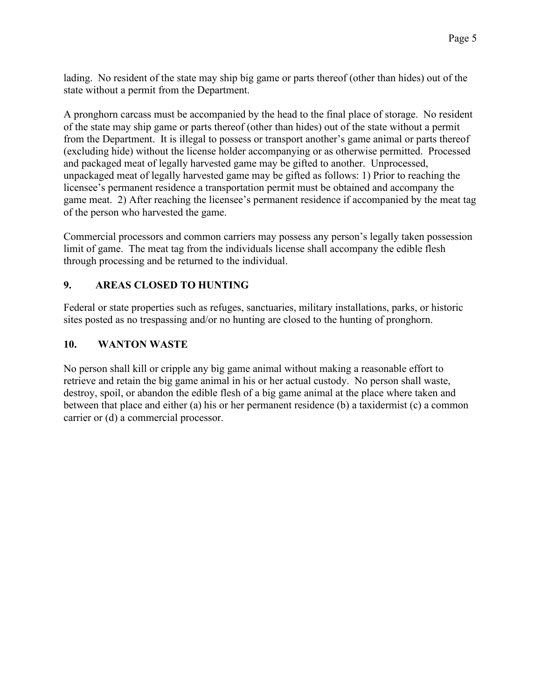lading. No resident of the state may ship big game or parts thereof (other than hides) out of the state without a permit from the Department.

A pronghorn carcass must be accompanied by the head to the final place of storage. No resident of the state may ship game or parts thereof (other than hides) out of the state without a permit from the Department. It is illegal to possess or transport another's game animal or parts thereof (excluding hide) without the license holder accompanying or as otherwise permitted. Processed and packaged meat of legally harvested game may be gifted to another. Unprocessed, unpackaged meat of legally harvested game may be gifted as follows: 1) Prior to reaching the licensee's permanent residence a transportation permit must be obtained and accompany the game meat. 2) After reaching the licensee's permanent residence if accompanied by the meat tag of the person who harvested the game.

Commercial processors and common carriers may possess any person's legally taken possession limit of game. The meat tag from the individuals license shall accompany the edible flesh through processing and be returned to the individual.

## **9. AREAS CLOSED TO HUNTING**

Federal or state properties such as refuges, sanctuaries, military installations, parks, or historic sites posted as no trespassing and/or no hunting are closed to the hunting of pronghorn.

### **10. WANTON WASTE**

No person shall kill or cripple any big game animal without making a reasonable effort to retrieve and retain the big game animal in his or her actual custody. No person shall waste, destroy, spoil, or abandon the edible flesh of a big game animal at the place where taken and between that place and either (a) his or her permanent residence (b) a taxidermist (c) a common carrier or (d) a commercial processor.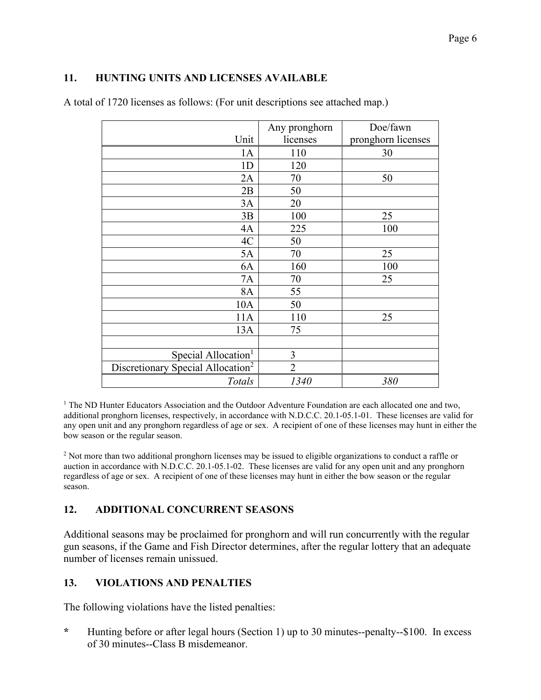### **11. HUNTING UNITS AND LICENSES AVAILABLE**

| A total of 1720 licenses as follows: (For unit descriptions see attached map.) |  |  |
|--------------------------------------------------------------------------------|--|--|
|--------------------------------------------------------------------------------|--|--|

|                                               | Any pronghorn  | Doe/fawn           |
|-----------------------------------------------|----------------|--------------------|
| Unit                                          | licenses       | pronghorn licenses |
| 1A                                            | 110            | 30                 |
| 1 <sub>D</sub>                                | 120            |                    |
| 2A                                            | 70             | 50                 |
| 2B                                            | 50             |                    |
| 3A                                            | 20             |                    |
| 3B                                            | 100            | 25                 |
| 4A                                            | 225            | 100                |
| 4C                                            | 50             |                    |
| 5A                                            | 70             | 25                 |
| 6A                                            | 160            | 100                |
| 7A                                            | 70             | 25                 |
| 8A                                            | 55             |                    |
| 10A                                           | 50             |                    |
| 11A                                           | 110            | 25                 |
| 13A                                           | 75             |                    |
|                                               |                |                    |
| Special Allocation <sup>1</sup>               | 3              |                    |
| Discretionary Special Allocation <sup>2</sup> | $\overline{2}$ |                    |
| Totals                                        | 1340           | 380                |

<sup>1</sup> The ND Hunter Educators Association and the Outdoor Adventure Foundation are each allocated one and two, additional pronghorn licenses, respectively, in accordance with N.D.C.C. 20.1-05.1-01. These licenses are valid for any open unit and any pronghorn regardless of age or sex. A recipient of one of these licenses may hunt in either the bow season or the regular season.

<sup>2</sup> Not more than two additional pronghorn licenses may be issued to eligible organizations to conduct a raffle or auction in accordance with N.D.C.C. 20.1-05.1-02. These licenses are valid for any open unit and any pronghorn regardless of age or sex. A recipient of one of these licenses may hunt in either the bow season or the regular season.

## **12. ADDITIONAL CONCURRENT SEASONS**

Additional seasons may be proclaimed for pronghorn and will run concurrently with the regular gun seasons, if the Game and Fish Director determines, after the regular lottery that an adequate number of licenses remain unissued.

#### **13. VIOLATIONS AND PENALTIES**

The following violations have the listed penalties:

**\*** Hunting before or after legal hours (Section 1) up to 30 minutes--penalty--\$100. In excess of 30 minutes--Class B misdemeanor.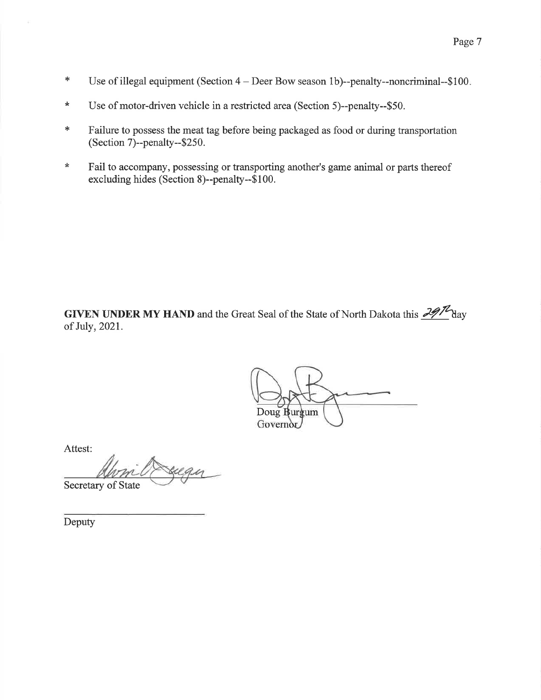- $\ast$ Use of illegal equipment (Section  $4 -$  Deer Bow season 1b)--penalty--noncriminal--\$100.
- $\star$ Use of motor-driven vehicle in a restricted area (Section 5)--penalty--\$50.
- Failure to possess the meat tag before being packaged as food or during transportation  $\ast$ (Section 7)--penalty--\$250.
- Fail to accompany, possessing or transporting another's game animal or parts thereof  $\star$ excluding hides (Section 8)--penalty--\$100.

**GIVEN UNDER MY HAND** and the Great Seal of the State of North Dakota this  $\frac{29}{\sqrt{2}}$  day of July, 2021.

Doug H urgum Governor

Attest:

Secretary of State

Deputy